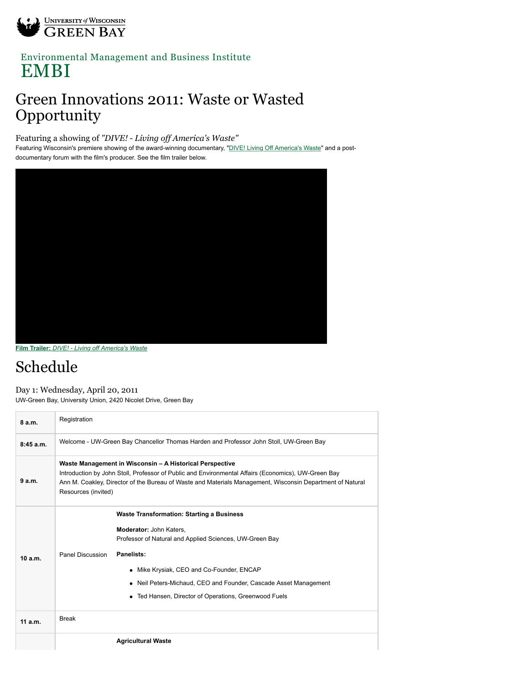

## [Environmental Management and Business Institute](http://www.uwgb.edu/embi/) EMBI

## Green Innovations 2011: Waste or Wasted Opportunity

Featuring a showing of *"DIVE! - Living off America's Waste"*

Featuring Wisconsin's premiere showing of the award-winning documentary, ["DIVE! Living Off America's Waste"](http://www.divethefilm.com/) and a postdocumentary forum with the film's producer. See the film trailer below.



**Film Trailer:** *[DIVE! - Living off America's Waste](http://vimeo.com/7730865)*

## Schedule

Day 1: Wednesday, April 20, 2011 UW-Green Bay, University Union, 2420 Nicolet Drive, Green Bay

| 8a.m.    | Registration                                                                                                                                                                                                                                                                                        |                                                                                                                                                                                                                                                                                                                                                        |  |
|----------|-----------------------------------------------------------------------------------------------------------------------------------------------------------------------------------------------------------------------------------------------------------------------------------------------------|--------------------------------------------------------------------------------------------------------------------------------------------------------------------------------------------------------------------------------------------------------------------------------------------------------------------------------------------------------|--|
| 8:45a.m. | Welcome - UW-Green Bay Chancellor Thomas Harden and Professor John Stoll, UW-Green Bay                                                                                                                                                                                                              |                                                                                                                                                                                                                                                                                                                                                        |  |
| 9 a.m.   | Waste Management in Wisconsin - A Historical Perspective<br>Introduction by John Stoll, Professor of Public and Environmental Affairs (Economics), UW-Green Bay<br>Ann M. Coakley, Director of the Bureau of Waste and Materials Management, Wisconsin Department of Natural<br>Resources (invited) |                                                                                                                                                                                                                                                                                                                                                        |  |
| 10a.m.   | Panel Discussion                                                                                                                                                                                                                                                                                    | <b>Waste Transformation: Starting a Business</b><br><b>Moderator: John Katers,</b><br>Professor of Natural and Applied Sciences, UW-Green Bay<br>Panelists:<br>Mike Krysiak, CEO and Co-Founder, ENCAP<br>٠<br>Neil Peters-Michaud, CEO and Founder, Cascade Asset Management<br>$\bullet$<br>Ted Hansen, Director of Operations, Greenwood Fuels<br>٠ |  |
| 11a.m.   | <b>Break</b>                                                                                                                                                                                                                                                                                        |                                                                                                                                                                                                                                                                                                                                                        |  |
|          |                                                                                                                                                                                                                                                                                                     | <b>Agricultural Waste</b>                                                                                                                                                                                                                                                                                                                              |  |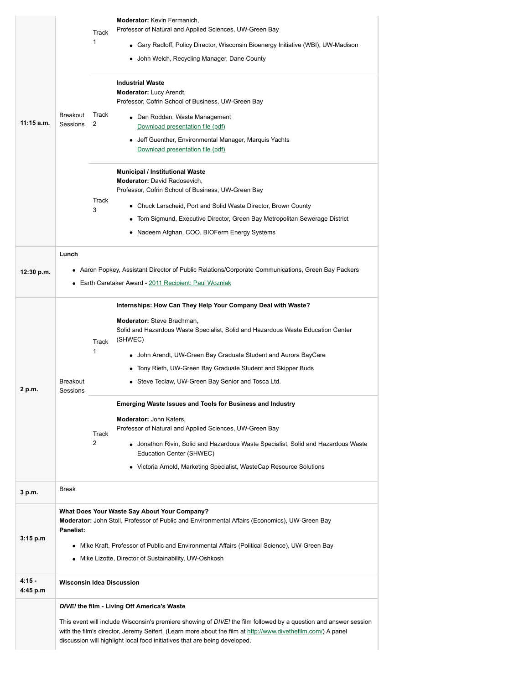| $11:15$ a.m.         | 1<br><b>Breakout</b><br>2<br>Sessions<br>3                                                                                                                                                                                                                                                                                                                    | <b>Moderator:</b> Kevin Fermanich,<br>Professor of Natural and Applied Sciences, UW-Green Bay<br>Track<br>• Gary Radloff, Policy Director, Wisconsin Bioenergy Initiative (WBI), UW-Madison<br>• John Welch, Recycling Manager, Dane County<br><b>Industrial Waste</b><br><b>Moderator:</b> Lucy Arendt,<br>Professor, Cofrin School of Business, UW-Green Bay<br>Track<br>• Dan Roddan, Waste Management<br>Download presentation file (pdf)<br>• Jeff Guenther, Environmental Manager, Marquis Yachts<br>Download presentation file (pdf)<br>Municipal / Institutional Waste<br><b>Moderator:</b> David Radosevich,<br>Professor, Cofrin School of Business, UW-Green Bay<br>Track<br>• Chuck Larscheid, Port and Solid Waste Director, Brown County<br>• Tom Sigmund, Executive Director, Green Bay Metropolitan Sewerage District<br>• Nadeem Afghan, COO, BIOFerm Energy Systems |  |
|----------------------|---------------------------------------------------------------------------------------------------------------------------------------------------------------------------------------------------------------------------------------------------------------------------------------------------------------------------------------------------------------|---------------------------------------------------------------------------------------------------------------------------------------------------------------------------------------------------------------------------------------------------------------------------------------------------------------------------------------------------------------------------------------------------------------------------------------------------------------------------------------------------------------------------------------------------------------------------------------------------------------------------------------------------------------------------------------------------------------------------------------------------------------------------------------------------------------------------------------------------------------------------------------|--|
|                      | Lunch                                                                                                                                                                                                                                                                                                                                                         |                                                                                                                                                                                                                                                                                                                                                                                                                                                                                                                                                                                                                                                                                                                                                                                                                                                                                       |  |
| 12:30 p.m.           | Aaron Popkey, Assistant Director of Public Relations/Corporate Communications, Green Bay Packers<br>• Earth Caretaker Award - 2011 Recipient: Paul Wozniak                                                                                                                                                                                                    |                                                                                                                                                                                                                                                                                                                                                                                                                                                                                                                                                                                                                                                                                                                                                                                                                                                                                       |  |
| 2 p.m.               | 1<br><b>Breakout</b><br>Sessions<br>2                                                                                                                                                                                                                                                                                                                         | Internships: How Can They Help Your Company Deal with Waste?<br><b>Moderator:</b> Steve Brachman,<br>Solid and Hazardous Waste Specialist, Solid and Hazardous Waste Education Center<br>(SHWEC)<br>Track<br>• John Arendt, UW-Green Bay Graduate Student and Aurora BayCare<br>Tony Rieth, UW-Green Bay Graduate Student and Skipper Buds<br>• Steve Teclaw, UW-Green Bay Senior and Tosca Ltd.<br><b>Emerging Waste Issues and Tools for Business and Industry</b><br>Moderator: John Katers,<br>Professor of Natural and Applied Sciences, UW-Green Bay<br>Track<br>• Jonathon Rivin, Solid and Hazardous Waste Specialist, Solid and Hazardous Waste<br>Education Center (SHWEC)<br>• Victoria Arnold, Marketing Specialist, WasteCap Resource Solutions                                                                                                                          |  |
| 3 p.m.               | <b>Break</b>                                                                                                                                                                                                                                                                                                                                                  |                                                                                                                                                                                                                                                                                                                                                                                                                                                                                                                                                                                                                                                                                                                                                                                                                                                                                       |  |
| 3:15 p.m             | What Does Your Waste Say About Your Company?<br><b>Moderator:</b> John Stoll, Professor of Public and Environmental Affairs (Economics), UW-Green Bay<br>Panelist:<br>• Mike Kraft, Professor of Public and Environmental Affairs (Political Science), UW-Green Bay<br>• Mike Lizotte, Director of Sustainability, UW-Oshkosh                                 |                                                                                                                                                                                                                                                                                                                                                                                                                                                                                                                                                                                                                                                                                                                                                                                                                                                                                       |  |
| $4:15 -$<br>4:45 p.m | <b>Wisconsin Idea Discussion</b>                                                                                                                                                                                                                                                                                                                              |                                                                                                                                                                                                                                                                                                                                                                                                                                                                                                                                                                                                                                                                                                                                                                                                                                                                                       |  |
|                      | DIVE! the film - Living Off America's Waste<br>This event will include Wisconsin's premiere showing of DIVE! the film followed by a question and answer session<br>with the film's director, Jeremy Seifert. (Learn more about the film at http://www.divethefilm.com/) A panel<br>discussion will highlight local food initiatives that are being developed. |                                                                                                                                                                                                                                                                                                                                                                                                                                                                                                                                                                                                                                                                                                                                                                                                                                                                                       |  |